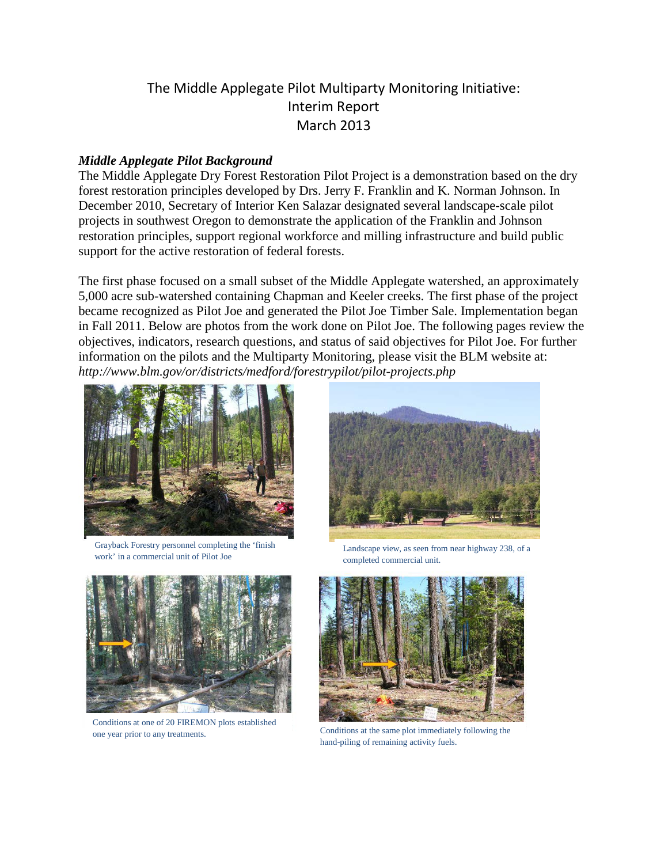## The Middle Applegate Pilot Multiparty Monitoring Initiative: Interim Report March 2013

#### *Middle Applegate Pilot Background*

The Middle Applegate Dry Forest Restoration Pilot Project is a demonstration based on the dry forest restoration principles developed by Drs. Jerry F. Franklin and K. Norman Johnson. In December 2010, Secretary of Interior Ken Salazar designated several landscape-scale pilot projects in southwest Oregon to demonstrate the application of the Franklin and Johnson restoration principles, support regional workforce and milling infrastructure and build public support for the active restoration of federal forests.

The first phase focused on a small subset of the Middle Applegate watershed, an approximately 5,000 acre sub-watershed containing Chapman and Keeler creeks. The first phase of the project became recognized as Pilot Joe and generated the Pilot Joe Timber Sale. Implementation began in Fall 2011. Below are photos from the work done on Pilot Joe. The following pages review the objectives, indicators, research questions, and status of said objectives for Pilot Joe. For further information on the pilots and the Multiparty Monitoring, please visit the BLM website at: *http://www.blm.gov/or/districts/medford/forestrypilot/pilot-projects.php* 



Grayback Forestry personnel completing the 'finish work' in a commercial unit of Pilot Joe



Conditions at one of 20 FIREMON plots established one year prior to any treatments. Conditions at the same plot immediately following the



 Landscape view, as seen from near highway 238, of a completed commercial unit.



hand-piling of remaining activity fuels.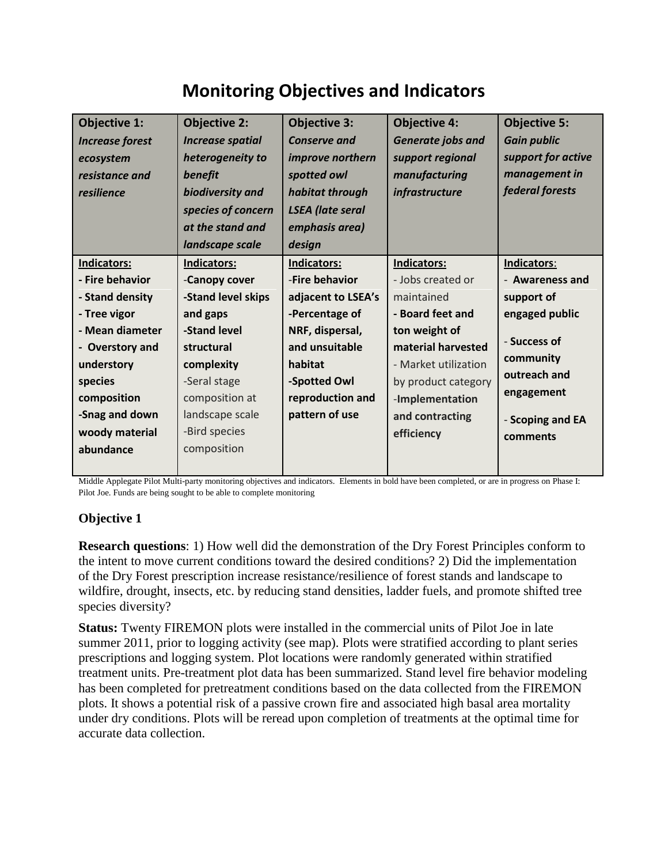# **Monitoring Objectives and Indicators**

| <b>Objective 1:</b><br><b>Increase forest</b><br>ecosystem<br>resistance and<br>resilience | <b>Objective 2:</b><br><b>Increase spatial</b><br>heterogeneity to<br>benefit<br>biodiversity and<br>species of concern<br>at the stand and<br>landscape scale | <b>Objective 3:</b><br><b>Conserve and</b><br>improve northern<br>spotted owl<br>habitat through<br><b>LSEA</b> (late seral<br>emphasis area)<br>design | <b>Objective 4:</b><br>Generate jobs and<br>support regional<br>manufacturing<br>infrastructure | <b>Objective 5:</b><br><b>Gain public</b><br>support for active<br>management in<br>federal forests |
|--------------------------------------------------------------------------------------------|----------------------------------------------------------------------------------------------------------------------------------------------------------------|---------------------------------------------------------------------------------------------------------------------------------------------------------|-------------------------------------------------------------------------------------------------|-----------------------------------------------------------------------------------------------------|
| Indicators:<br>- Fire behavior                                                             | <b>Indicators:</b><br>-Canopy cover                                                                                                                            | <b>Indicators:</b><br>-Fire behavior                                                                                                                    | Indicators:<br>- Jobs created or                                                                | Indicators:<br>- Awareness and                                                                      |
| - Stand density                                                                            | -Stand level skips                                                                                                                                             | adjacent to LSEA's                                                                                                                                      | maintained                                                                                      | support of                                                                                          |
| - Tree vigor<br>- Mean diameter                                                            | and gaps<br>-Stand level                                                                                                                                       | -Percentage of<br>NRF, dispersal,                                                                                                                       | - Board feet and<br>ton weight of                                                               | engaged public<br>- Success of                                                                      |
| - Overstory and<br>understory<br>species                                                   | structural<br>complexity<br>-Seral stage                                                                                                                       | and unsuitable<br>habitat<br>-Spotted Owl                                                                                                               | material harvested<br>- Market utilization<br>by product category                               | community<br>outreach and                                                                           |
| composition                                                                                | composition at                                                                                                                                                 | reproduction and                                                                                                                                        | -Implementation                                                                                 | engagement                                                                                          |
| -Snag and down<br>woody material<br>abundance                                              | landscape scale<br>-Bird species<br>composition                                                                                                                | pattern of use                                                                                                                                          | and contracting<br>efficiency                                                                   | - Scoping and EA<br>comments                                                                        |
|                                                                                            |                                                                                                                                                                |                                                                                                                                                         |                                                                                                 |                                                                                                     |

Middle Applegate Pilot Multi-party monitoring objectives and indicators. Elements in bold have been completed, or are in progress on Phase I: Pilot Joe. Funds are being sought to be able to complete monitoring

## **Objective 1**

**Research questions**: 1) How well did the demonstration of the Dry Forest Principles conform to the intent to move current conditions toward the desired conditions? 2) Did the implementation of the Dry Forest prescription increase resistance/resilience of forest stands and landscape to wildfire, drought, insects, etc. by reducing stand densities, ladder fuels, and promote shifted tree species diversity?

**Status:** Twenty FIREMON plots were installed in the commercial units of Pilot Joe in late summer 2011, prior to logging activity (see map). Plots were stratified according to plant series prescriptions and logging system. Plot locations were randomly generated within stratified treatment units. Pre-treatment plot data has been summarized. Stand level fire behavior modeling has been completed for pretreatment conditions based on the data collected from the FIREMON plots. It shows a potential risk of a passive crown fire and associated high basal area mortality under dry conditions. Plots will be reread upon completion of treatments at the optimal time for accurate data collection.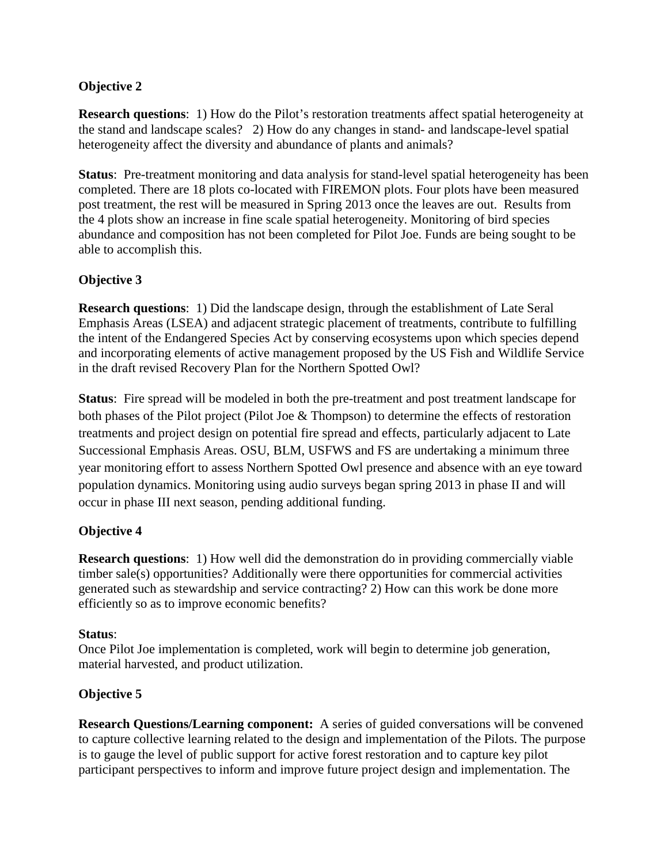## **Objective 2**

**Research questions**: 1) How do the Pilot's restoration treatments affect spatial heterogeneity at the stand and landscape scales? 2) How do any changes in stand- and landscape-level spatial heterogeneity affect the diversity and abundance of plants and animals?

**Status**: Pre-treatment monitoring and data analysis for stand-level spatial heterogeneity has been completed. There are 18 plots co-located with FIREMON plots. Four plots have been measured post treatment, the rest will be measured in Spring 2013 once the leaves are out. Results from the 4 plots show an increase in fine scale spatial heterogeneity. Monitoring of bird species abundance and composition has not been completed for Pilot Joe. Funds are being sought to be able to accomplish this.

## **Objective 3**

**Research questions**: 1) Did the landscape design, through the establishment of Late Seral Emphasis Areas (LSEA) and adjacent strategic placement of treatments, contribute to fulfilling the intent of the Endangered Species Act by conserving ecosystems upon which species depend and incorporating elements of active management proposed by the US Fish and Wildlife Service in the draft revised Recovery Plan for the Northern Spotted Owl?

**Status**: Fire spread will be modeled in both the pre-treatment and post treatment landscape for both phases of the Pilot project (Pilot Joe & Thompson) to determine the effects of restoration treatments and project design on potential fire spread and effects, particularly adjacent to Late Successional Emphasis Areas. OSU, BLM, USFWS and FS are undertaking a minimum three year monitoring effort to assess Northern Spotted Owl presence and absence with an eye toward population dynamics. Monitoring using audio surveys began spring 2013 in phase II and will occur in phase III next season, pending additional funding.

## **Objective 4**

**Research questions**: 1) How well did the demonstration do in providing commercially viable timber sale(s) opportunities? Additionally were there opportunities for commercial activities generated such as stewardship and service contracting? 2) How can this work be done more efficiently so as to improve economic benefits?

## **Status**:

Once Pilot Joe implementation is completed, work will begin to determine job generation, material harvested, and product utilization.

## **Objective 5**

**Research Questions/Learning component:** A series of guided conversations will be convened to capture collective learning related to the design and implementation of the Pilots. The purpose is to gauge the level of public support for active forest restoration and to capture key pilot participant perspectives to inform and improve future project design and implementation. The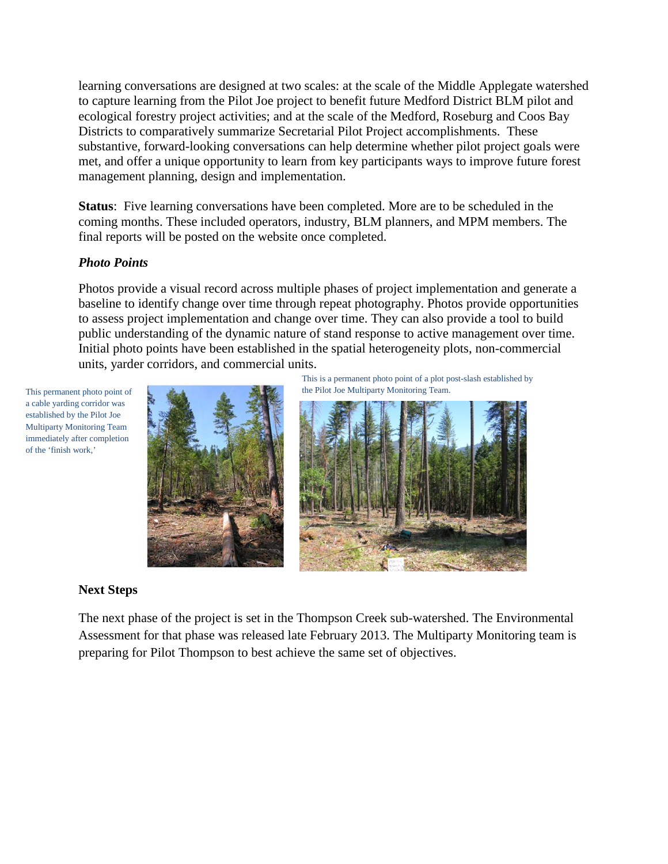learning conversations are designed at two scales: at the scale of the Middle Applegate watershed to capture learning from the Pilot Joe project to benefit future Medford District BLM pilot and ecological forestry project activities; and at the scale of the Medford, Roseburg and Coos Bay Districts to comparatively summarize Secretarial Pilot Project accomplishments. These substantive, forward-looking conversations can help determine whether pilot project goals were met, and offer a unique opportunity to learn from key participants ways to improve future forest management planning, design and implementation.

**Status**: Five learning conversations have been completed. More are to be scheduled in the coming months. These included operators, industry, BLM planners, and MPM members. The final reports will be posted on the website once completed.

#### *Photo Points*

Photos provide a visual record across multiple phases of project implementation and generate a baseline to identify change over time through repeat photography. Photos provide opportunities to assess project implementation and change over time. They can also provide a tool to build public understanding of the dynamic nature of stand response to active management over time. Initial photo points have been established in the spatial heterogeneity plots, non-commercial units, yarder corridors, and commercial units.

This permanent photo point of a cable yarding corridor was established by the Pilot Joe Multiparty Monitoring Team immediately after completion of the 'finish work,'



This is a permanent photo point of a plot post-slash established by the Pilot Joe Multiparty Monitoring Team.



#### **Next Steps**

The next phase of the project is set in the Thompson Creek sub-watershed. The Environmental Assessment for that phase was released late February 2013. The Multiparty Monitoring team is preparing for Pilot Thompson to best achieve the same set of objectives.